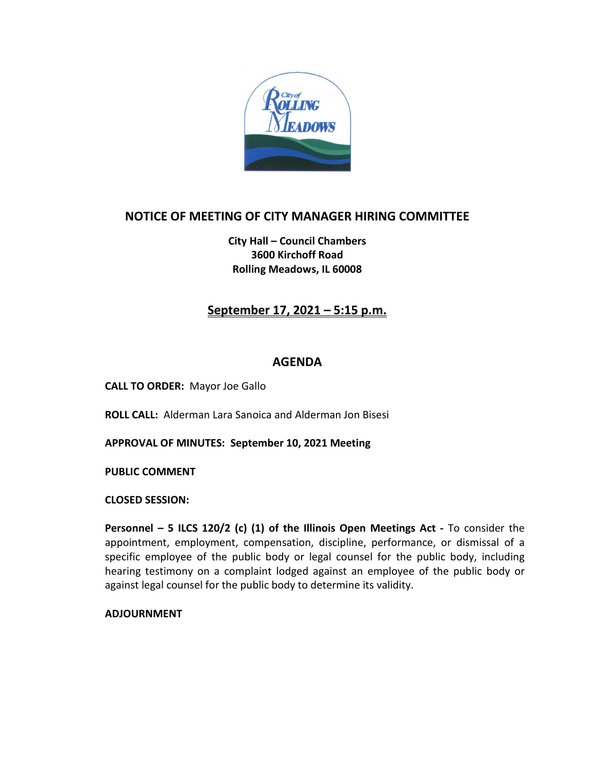

### **NOTICE OF MEETING OF CITY MANAGER HIRING COMMITTEE**

**City Hall – Council Chambers 3600 Kirchoff Road Rolling Meadows, IL 60008**

### **September 17, 2021 – 5:15 p.m.**

#### **AGENDA**

**CALL TO ORDER:** Mayor Joe Gallo

**ROLL CALL:** Alderman Lara Sanoica and Alderman Jon Bisesi

**APPROVAL OF MINUTES: September 10, 2021 Meeting**

**PUBLIC COMMENT** 

**CLOSED SESSION:**

**Personnel – 5 ILCS 120/2 (c) (1) of the Illinois Open Meetings Act -** To consider the appointment, employment, compensation, discipline, performance, or dismissal of a specific employee of the public body or legal counsel for the public body, including hearing testimony on a complaint lodged against an employee of the public body or against legal counsel for the public body to determine its validity.

**ADJOURNMENT**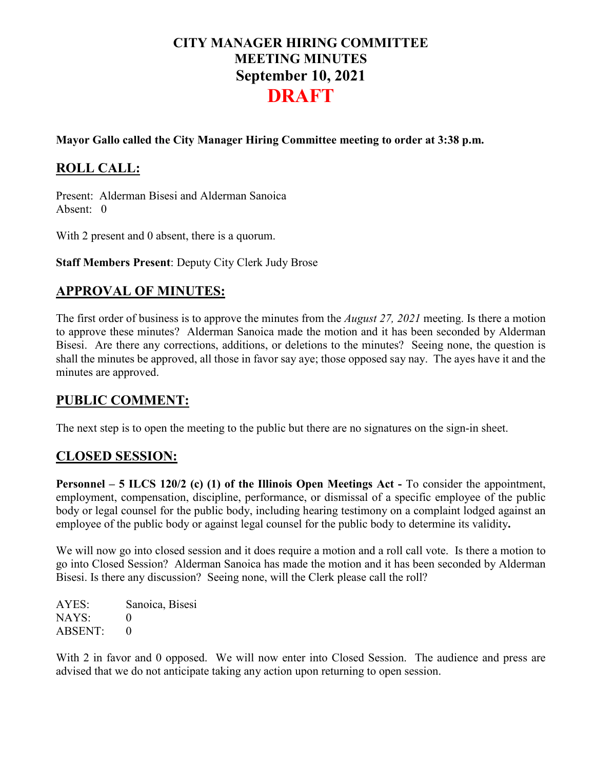# **CITY MANAGER HIRING COMMITTEE MEETING MINUTES September 10, 2021 DRAFT**

#### **Mayor Gallo called the City Manager Hiring Committee meeting to order at 3:38 p.m.**

## **ROLL CALL:**

Present: Alderman Bisesi and Alderman Sanoica Absent: 0

With 2 present and 0 absent, there is a quorum.

**Staff Members Present**: Deputy City Clerk Judy Brose

### **APPROVAL OF MINUTES:**

The first order of business is to approve the minutes from the *August 27, 2021* meeting. Is there a motion to approve these minutes? Alderman Sanoica made the motion and it has been seconded by Alderman Bisesi. Are there any corrections, additions, or deletions to the minutes? Seeing none, the question is shall the minutes be approved, all those in favor say aye; those opposed say nay. The ayes have it and the minutes are approved.

#### **PUBLIC COMMENT:**

The next step is to open the meeting to the public but there are no signatures on the sign-in sheet.

### **CLOSED SESSION:**

**Personnel – 5 ILCS 120/2 (c) (1) of the Illinois Open Meetings Act -** To consider the appointment, employment, compensation, discipline, performance, or dismissal of a specific employee of the public body or legal counsel for the public body, including hearing testimony on a complaint lodged against an employee of the public body or against legal counsel for the public body to determine its validity**.**

We will now go into closed session and it does require a motion and a roll call vote. Is there a motion to go into Closed Session? Alderman Sanoica has made the motion and it has been seconded by Alderman Bisesi. Is there any discussion? Seeing none, will the Clerk please call the roll?

AYES: Sanoica, Bisesi NAYS: 0 ABSENT: 0

With 2 in favor and 0 opposed. We will now enter into Closed Session. The audience and press are advised that we do not anticipate taking any action upon returning to open session.